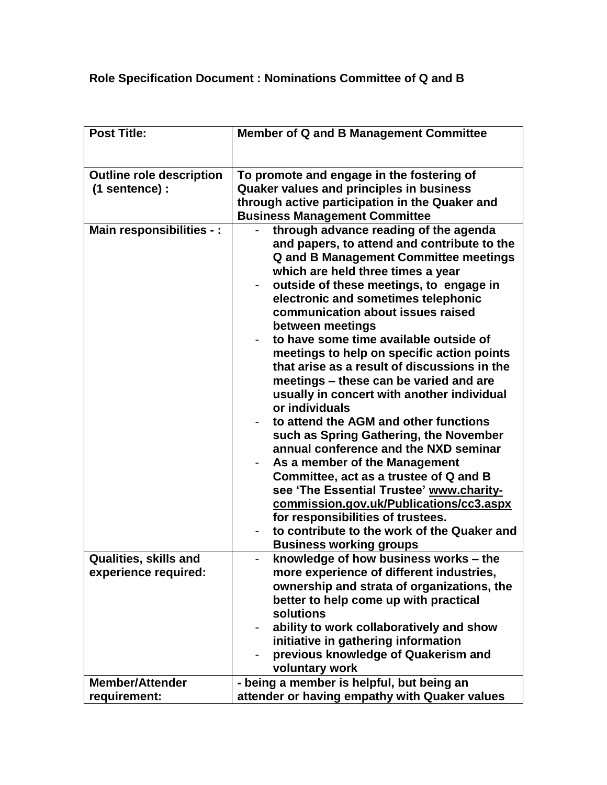## **Role Specification Document : Nominations Committee of Q and B**

| Post Title:                                       | Member of Q and B Management Committee                                                                                                                                                                                                                                                                                                                                                                                                                                                                                                                                                                                                                                                                                                                                                                                                                                                                                                                                                     |
|---------------------------------------------------|--------------------------------------------------------------------------------------------------------------------------------------------------------------------------------------------------------------------------------------------------------------------------------------------------------------------------------------------------------------------------------------------------------------------------------------------------------------------------------------------------------------------------------------------------------------------------------------------------------------------------------------------------------------------------------------------------------------------------------------------------------------------------------------------------------------------------------------------------------------------------------------------------------------------------------------------------------------------------------------------|
| <b>Outline role description</b><br>(1 sentence) : | To promote and engage in the fostering of<br><b>Quaker values and principles in business</b><br>through active participation in the Quaker and<br><b>Business Management Committee</b>                                                                                                                                                                                                                                                                                                                                                                                                                                                                                                                                                                                                                                                                                                                                                                                                     |
| Main responsibilities - :                         | through advance reading of the agenda<br>and papers, to attend and contribute to the<br><b>Q and B Management Committee meetings</b><br>which are held three times a year<br>outside of these meetings, to engage in<br>electronic and sometimes telephonic<br>communication about issues raised<br>between meetings<br>to have some time available outside of<br>meetings to help on specific action points<br>that arise as a result of discussions in the<br>meetings – these can be varied and are<br>usually in concert with another individual<br>or individuals<br>to attend the AGM and other functions<br>such as Spring Gathering, the November<br>annual conference and the NXD seminar<br>As a member of the Management<br>Committee, act as a trustee of Q and B<br>see 'The Essential Trustee' www.charity-<br>commission.gov.uk/Publications/cc3.aspx<br>for responsibilities of trustees.<br>to contribute to the work of the Quaker and<br><b>Business working groups</b> |
| <b>Qualities, skills and</b>                      | knowledge of how business works - the                                                                                                                                                                                                                                                                                                                                                                                                                                                                                                                                                                                                                                                                                                                                                                                                                                                                                                                                                      |
| experience required:                              | more experience of different industries,<br>ownership and strata of organizations, the<br>better to help come up with practical<br>solutions<br>ability to work collaboratively and show<br>initiative in gathering information<br>previous knowledge of Quakerism and<br>voluntary work                                                                                                                                                                                                                                                                                                                                                                                                                                                                                                                                                                                                                                                                                                   |
| <b>Member/Attender</b>                            | - being a member is helpful, but being an                                                                                                                                                                                                                                                                                                                                                                                                                                                                                                                                                                                                                                                                                                                                                                                                                                                                                                                                                  |
| requirement:                                      | attender or having empathy with Quaker values                                                                                                                                                                                                                                                                                                                                                                                                                                                                                                                                                                                                                                                                                                                                                                                                                                                                                                                                              |